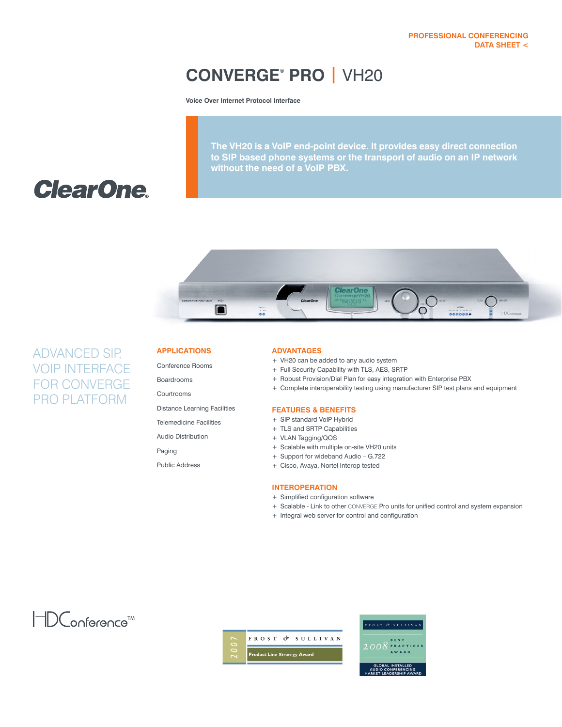## **CONVERGE® PRO |** VH20

**Voice Over Internet Protocol Interface**

**The VH20 is a VoIP end-point device. It provides easy direct connection to SIP based phone systems or the transport of audio on an IP network without the need of a VoIP PBX.**

# **ClearOne.**



## ADVANCED SIP, VOIP INTERFACE FOR CONVERGE PRO PLATFORM

## **APPLICATIONS**

Conference Rooms

Boardrooms

Courtrooms

Distance Learning Facilities

Telemedicine Facilities

Audio Distribution

Paging

Public Address

### **ADVANTAGES**

- + VH20 can be added to any audio system
- + Full Security Capability with TLS, AES, SRTP
- + Robust Provision/Dial Plan for easy integration with Enterprise PBX
- + Complete interoperability testing using manufacturer SIP test plans and equipment

## **FEATURES & BENEFITS**

- + SIP standard VoIP Hybrid
- + TLS and SRTP Capabilities
- + VLAN Tagging/QOS
- + Scalable with multiple on-site VH20 units
- + Support for wideband Audio G.722
- + Cisco, Avaya, Nortel Interop tested

## **INTEROPERATION**

- + Simplified configuration software
- + Scalable Link to other CONVERGE Pro units for unified control and system expansion
- + Integral web server for control and configuration